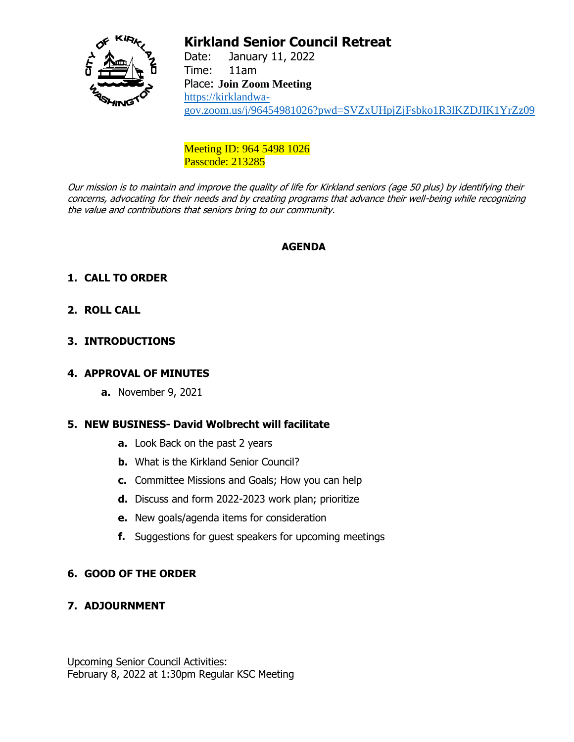

# **Kirkland Senior Council Retreat**

Date: January 11, 2022 Time: 11am Place: **Join Zoom Meeting** [https://kirklandwa](https://kirklandwa-gov.zoom.us/j/96454981026?pwd=SVZxUHpjZjFsbko1R3lKZDJIK1YrZz09)[gov.zoom.us/j/96454981026?pwd=SVZxUHpjZjFsbko1R3lKZDJIK1YrZz09](https://kirklandwa-gov.zoom.us/j/96454981026?pwd=SVZxUHpjZjFsbko1R3lKZDJIK1YrZz09)

Meeting ID: 964 5498 1026 Passcode: 213285

Our mission is to maintain and improve the quality of life for Kirkland seniors (age 50 plus) by identifying their concerns, advocating for their needs and by creating programs that advance their well-being while recognizing the value and contributions that seniors bring to our community.

# **AGENDA**

# **1. CALL TO ORDER**

## **2. ROLL CALL**

## **3. INTRODUCTIONS**

#### **4. APPROVAL OF MINUTES**

**a.** November 9, 2021

#### **5. NEW BUSINESS- David Wolbrecht will facilitate**

- **a.** Look Back on the past 2 years
- **b.** What is the Kirkland Senior Council?
- **c.** Committee Missions and Goals; How you can help
- **d.** Discuss and form 2022-2023 work plan; prioritize
- **e.** New goals/agenda items for consideration
- **f.** Suggestions for guest speakers for upcoming meetings

#### **6. GOOD OF THE ORDER**

**7. ADJOURNMENT**